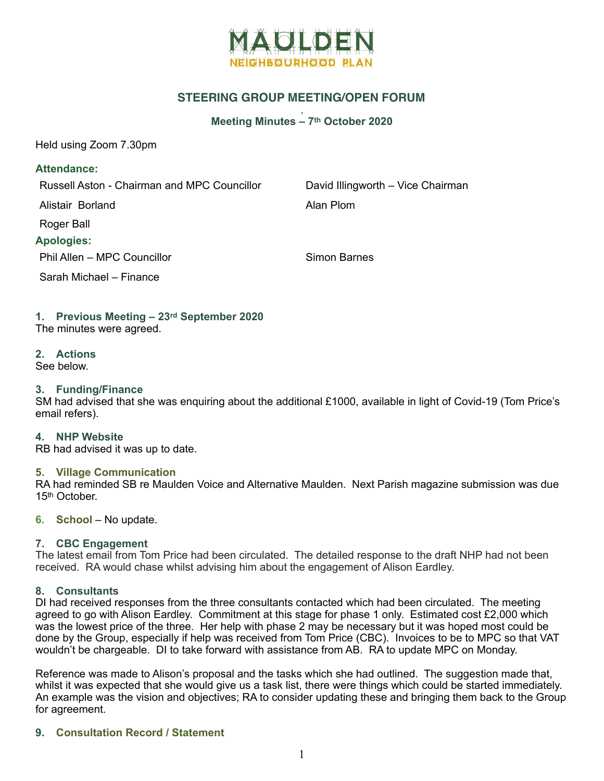

# **STEERING GROUP MEETING/OPEN FORUM**

#### , **Meeting Minutes – 7th October 2020**

Held using Zoom 7.30pm

#### **Attendance:**

Russell Aston - Chairman and MPC Councillor David Illingworth – Vice Chairman

Alistair Borland **Alistair Borland** 

Roger Ball

### **Apologies:**

Phil Allen – MPC Councillor Simon Barnes

Sarah Michael – Finance

## **1. Previous Meeting – 23rd September 2020**

The minutes were agreed.

## **2. Actions**

See below.

## **3. Funding/Finance**

SM had advised that she was enquiring about the additional £1000, available in light of Covid-19 (Tom Price's email refers).

#### **4. NHP Website**

RB had advised it was up to date.

#### **5. Village Communication**

RA had reminded SB re Maulden Voice and Alternative Maulden. Next Parish magazine submission was due 15th October.

#### **6. School** – No update.

## **7. CBC Engagement**

The latest email from Tom Price had been circulated. The detailed response to the draft NHP had not been received. RA would chase whilst advising him about the engagement of Alison Eardley.

#### **8. Consultants**

DI had received responses from the three consultants contacted which had been circulated. The meeting agreed to go with Alison Eardley. Commitment at this stage for phase 1 only. Estimated cost £2,000 which was the lowest price of the three. Her help with phase 2 may be necessary but it was hoped most could be done by the Group, especially if help was received from Tom Price (CBC). Invoices to be to MPC so that VAT wouldn't be chargeable. DI to take forward with assistance from AB. RA to update MPC on Monday.

Reference was made to Alison's proposal and the tasks which she had outlined. The suggestion made that, whilst it was expected that she would give us a task list, there were things which could be started immediately. An example was the vision and objectives; RA to consider updating these and bringing them back to the Group for agreement.

## **9. Consultation Record / Statement**